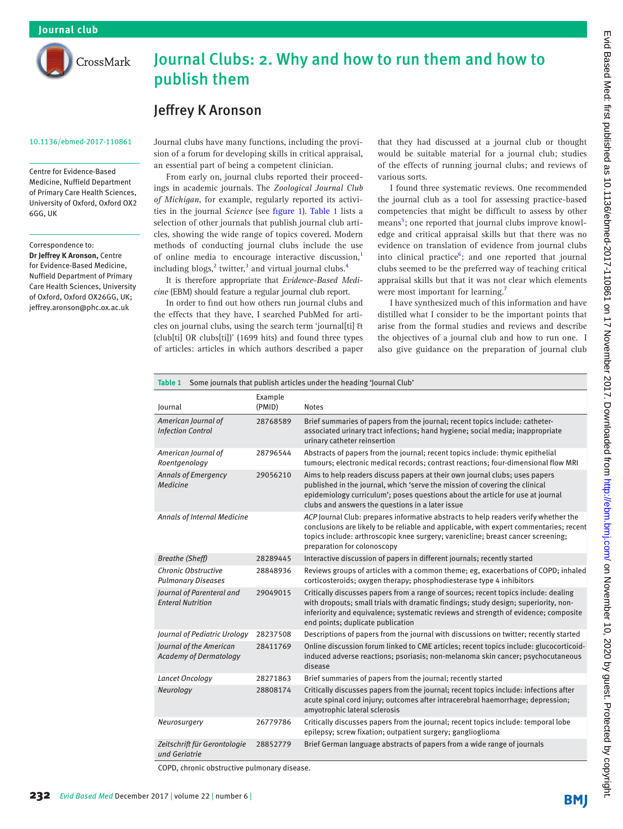

# Journal Clubs: 2. Why and how to run them and how to publish them

# Jeffrey K Aronson

#### 10.1136/ebmed-2017-110861

Centre for Evidence-Based Medicine, Nuffield Department of Primary Care Health Sciences, University of Oxford, Oxford OX2 6GG, UK

Correspondence to:

*Dr Jeffrey K Aronson,* Centre for Evidence-Based Medicine, Nuffield Department of Primary Care Health Sciences, University of Oxford, Oxford OX26GG, UK; jeffrey.aronson@phc.ox.ac.uk

Journal clubs have many functions, including the provision of a forum for developing skills in critical appraisal, an essential part of being a competent clinician.

From early on, journal clubs reported their proceedings in academic journals. The *Zoological Journal Club of Michigan*, for example, regularly reported its activities in the journal *Science* (see [figure 1](#page-1-0)). [Table 1](#page-0-0) lists a selection of other journals that publish journal club articles, showing the wide range of topics covered. Modern methods of conducting journal clubs include the use of online media to encourage interactive discussion,<sup>1</sup> including blogs,<sup>[2](#page-2-0)</sup> twitter,<sup>[3](#page-2-1)</sup> and virtual journal clubs.<sup>4</sup>

It is therefore appropriate that *Evidence-Based Medicine* (EBM) should feature a regular journal club report.

In order to find out how others run journal clubs and the effects that they have, I searched PubMed for articles on journal clubs, using the search term 'journal[ti] & (club[ti] OR clubs[ti])' (1699 hits) and found three types of articles: articles in which authors described a paper

that they had discussed at a journal club or thought would be suitable material for a journal club; studies of the effects of running journal clubs; and reviews of various sorts.

I found three systematic reviews. One recommended the journal club as a tool for assessing practice-based competencies that might be difficult to assess by other means<sup>[5](#page-2-3)</sup>; one reported that journal clubs improve knowledge and critical appraisal skills but that there was no evidence on translation of evidence from journal clubs into clinical practice<sup>[6](#page-2-4)</sup>; and one reported that journal clubs seemed to be the preferred way of teaching critical appraisal skills but that it was not clear which elements were most important for learning.<sup>[7](#page-2-5)</sup>

I have synthesized much of this information and have distilled what I consider to be the important points that arise from the formal studies and reviews and describe the objectives of a journal club and how to run one. I also give guidance on the preparation of journal club

<span id="page-0-0"></span>

| Some journals that publish articles under the heading 'Journal Club'<br>Table 1 |                   |                                                                                                                                                                                                                                                                                                        |
|---------------------------------------------------------------------------------|-------------------|--------------------------------------------------------------------------------------------------------------------------------------------------------------------------------------------------------------------------------------------------------------------------------------------------------|
| Journal                                                                         | Example<br>(PMID) | <b>Notes</b>                                                                                                                                                                                                                                                                                           |
| American Journal of<br><b>Infection Control</b>                                 | 28768589          | Brief summaries of papers from the journal; recent topics include: catheter-<br>associated urinary tract infections; hand hygiene; social media; inappropriate<br>urinary catheter reinsertion                                                                                                         |
| American Journal of<br>Roentgenology                                            | 28796544          | Abstracts of papers from the journal; recent topics include: thymic epithelial<br>tumours; electronic medical records; contrast reactions; four-dimensional flow MRI                                                                                                                                   |
| <b>Annals of Emergency</b><br>Medicine                                          | 29056210          | Aims to help readers discuss papers at their own journal clubs; uses papers<br>published in the journal, which 'serve the mission of covering the clinical<br>epidemiology curriculum'; poses questions about the article for use at journal<br>clubs and answers the questions in a later issue       |
| <b>Annals of Internal Medicine</b>                                              |                   | ACP Journal Club: prepares informative abstracts to help readers verify whether the<br>conclusions are likely to be reliable and applicable, with expert commentaries; recent<br>topics include: arthroscopic knee surgery; varenicline; breast cancer screening;<br>preparation for colonoscopy       |
| <b>Breathe (Sheff)</b>                                                          | 28289445          | Interactive discussion of papers in different journals; recently started                                                                                                                                                                                                                               |
| <b>Chronic Obstructive</b><br><b>Pulmonary Diseases</b>                         | 28848936          | Reviews groups of articles with a common theme; eg, exacerbations of COPD; inhaled<br>corticosteroids; oxygen therapy; phosphodiesterase type 4 inhibitors                                                                                                                                             |
| Journal of Parenteral and<br><b>Enteral Nutrition</b>                           | 29049015          | Critically discusses papers from a range of sources; recent topics include: dealing<br>with dropouts; small trials with dramatic findings; study design; superiority, non-<br>inferiority and equivalence; systematic reviews and strength of evidence; composite<br>end points; duplicate publication |
| Journal of Pediatric Urology                                                    | 28237508          | Descriptions of papers from the journal with discussions on twitter; recently started                                                                                                                                                                                                                  |
| Journal of the American<br><b>Academy of Dermatology</b>                        | 28411769          | Online discussion forum linked to CME articles; recent topics include: glucocorticoid-<br>induced adverse reactions; psoriasis; non-melanoma skin cancer; psychocutaneous<br>disease                                                                                                                   |
| Lancet Oncology                                                                 | 28271863          | Brief summaries of papers from the journal; recently started                                                                                                                                                                                                                                           |
| Neurology                                                                       | 28808174          | Critically discusses papers from the journal; recent topics include: infections after<br>acute spinal cord injury; outcomes after intracerebral haemorrhage; depression;<br>amyotrophic lateral sclerosis                                                                                              |
| Neurosurgery                                                                    | 26779786          | Critically discusses papers from the journal; recent topics include: temporal lobe<br>epilepsy; screw fixation; outpatient surgery; ganglioglioma                                                                                                                                                      |
| Zeitschrift für Gerontologie<br>und Geriatrie                                   | 28852779          | Brief German language abstracts of papers from a wide range of journals                                                                                                                                                                                                                                |

COPD, chronic obstructive pulmonary disease.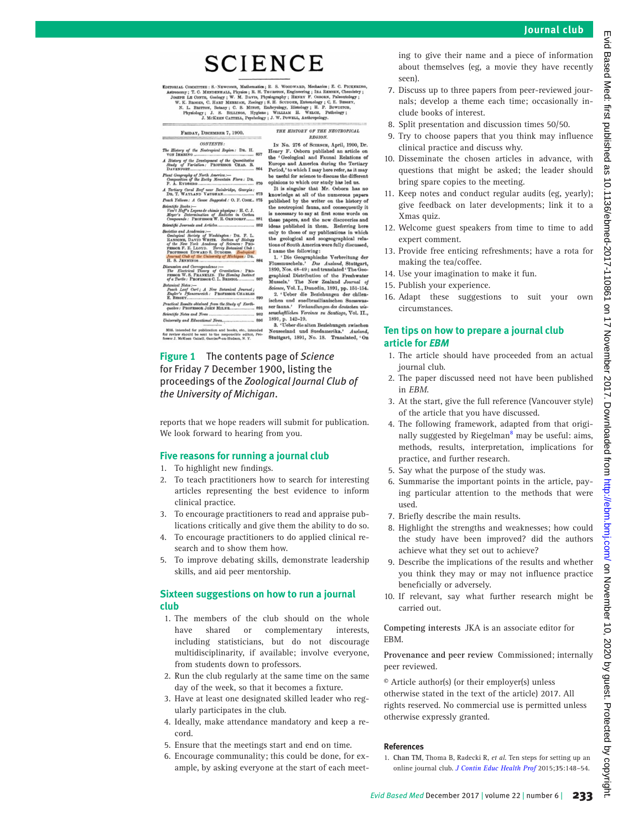Evid

**Based** 

# **SCIENCE**

EDITORIAL COMMITTEE : S. - NE

FRIDAY, DECEMBER 7, 1900.

## $CONTENTS$

CONTENTS:<br>tory of the Neotropical Region: DR. H. of the Development of the Quantit<br>of Variation: PROFESSOR CHAS.

ography of North America:—<br>sition of the Eocky Mountain Flora : DB

870 Tertiary Coral Reef near Bainbridge, Georgia:<br>DR. T. WAYLAND VAUGHAN................................ 873

each Yellows: A Cause Suggested: O. F. COOK., 875 *zettomas: A Comes Engycsica C. C. 2. Comes*<br>
of Hogy Legona de chimie physique : H. C. J<br>
per's Determination of *Radicles* in Carbon<br>
provide : PROFESSOR W. R. ORNDORFF......

fie Journals and Articles...... 882 nd Acaden

Academies :----<br>Society of Wax<br>DAVID WHITE

ind Cor

Narl ; A New Botan<br>azenreich : PBOFES

891

es and No ity and Ed

ublication and books, etc., intent to the responsible editor<br>ell, Garriso<sup>n</sup>-on-Hudson, N. Y.

<span id="page-1-0"></span>

IN No. 276 of SCIENCE, April, 1900, Dr. IN No. 276 of SCERCE, April, 1900, Dr.<br>Henry F. Osborn published an article on<br>the 'Geological and Faunal Relations of<br>Europe and America during the Teritary<br>Period, 'to which I may here refer, as it may<br>be useful for scie pinions to which our study has led us.<br>It is singular that Mr. Osborn has no

THE HISTORY OF THE NEOTROPICAL

**REGION.** 

knowledge at all of the numerous papers published by the writer on the history of the neotropical fauna, and consequently it is necessary to say at first some words or these papers, and the new discoveries and<br>ideas published in them. Referring here<br>only to those of my publications in which only to those of my publications in the geological and zoogeographical relations of South America were fully discus

name the following:<br>
1. 'Die Geographische Verbreitung der<br>
Iussmuscheln.' Das Ausland, Stuttgart, Fluss 1890, Nos. 48-49; and translated 'The Geo so, Nos. vo-vo; and translated The Sphed Distribution of the Freshwater<br>ussels.' The New Zealand Journal of<br>ience, Vol. I., Dunedin, 1891, pp. 151-154. 2. 'Ueber die Beziehungen der chilen-<br>ischen und suedbrasilianischen Suesswas-<br>ser fauna.' Verhandlungen des deutschen wis-<br>senschaftlichen Vereines zu Santiago, Vol. II., sensenajutelen Fereines zu santiage, vol. 11.,<br>1891, p. 142–19.<br>3. 'Ueber die alten Beziehungen zwischen

Neuseeland und Suedamerika.' Ausland,<br>Stuttgart, 1891, No. 18. Translated, 'On

## **Figure 1** The contents page of *Science* for Friday 7 December 1900, listing the proceedings of the *Zoological Journal Club of the University of Michigan*.

reports that we hope readers will submit for publication. We look forward to hearing from you.

#### **Five reasons for running a journal club**

- 1. To highlight new findings.
- 2. To teach practitioners how to search for interesting articles representing the best evidence to inform clinical practice.
- 3. To encourage practitioners to read and appraise publications critically and give them the ability to do so.
- 4. To encourage practitioners to do applied clinical research and to show them how.
- 5. To improve debating skills, demonstrate leadership skills, and aid peer mentorship.

### **Sixteen suggestions on how to run a journal club**

- 1. The members of the club should on the whole have shared or complementary interests, including statisticians, but do not discourage multidisciplinarity, if available; involve everyone, from students down to professors.
- 2. Run the club regularly at the same time on the same day of the week, so that it becomes a fixture.
- 3. Have at least one designated skilled leader who regularly participates in the club.
- 4. Ideally, make attendance mandatory and keep a record.
- 5. Ensure that the meetings start and end on time.
- 6. Encourage communality; this could be done, for example, by asking everyone at the start of each meet-

ing to give their name and a piece of information about themselves (eg, a movie they have recently seen).

- 7. Discuss up to three papers from peer-reviewed journals; develop a theme each time; occasionally include books of interest.
- 8. Split presentation and discussion times 50/50.
- 9. Try to choose papers that you think may influence clinical practice and discuss why.
- 10. Disseminate the chosen articles in advance, with questions that might be asked; the leader should bring spare copies to the meeting.
- 11. Keep notes and conduct regular audits (eg, yearly); give feedback on later developments; link it to a Xmas quiz.
- 12. Welcome guest speakers from time to time to add expert comment.
- 13. Provide free enticing refreshments; have a rota for making the tea/coffee.
- 14. Use your imagination to make it fun.
- 15. Publish your experience.
- 16. Adapt these suggestions to suit your own circumstances.

#### **Ten tips on how to prepare a journal club article for** *EBM*

- 1. The article should have proceeded from an actual journal club.
- 2. The paper discussed need not have been published in *EBM*.
- 3. At the start, give the full reference (Vancouver style) of the article that you have discussed.
- 4. The following framework, adapted from that origi-nally suggested by Riegelman<sup>[8](#page-2-6)</sup> may be useful: aims, methods, results, interpretation, implications for practice, and further research.
- 5. Say what the purpose of the study was.
- 6. Summarise the important points in the article, paying particular attention to the methods that were used.
- 7. Briefly describe the main results.
- 8. Highlight the strengths and weaknesses; how could the study have been improved? did the authors achieve what they set out to achieve?
- 9. Describe the implications of the results and whether you think they may or may not influence practice beneficially or adversely.
- 10. If relevant, say what further research might be carried out.

**Competing interests** JKA is an associate editor for EBM.

**Provenance and peer review** Commissioned; internally peer reviewed.

© Article author(s) (or their employer(s) unless otherwise stated in the text of the article) 2017. All rights reserved. No commercial use is permitted unless otherwise expressly granted.

#### **References**

<span id="page-1-1"></span>1. **Chan TM**, Thoma B, Radecki R, *et al*. Ten steps for setting up an online journal club. *[J Contin Educ Health Prof](http://dx.doi.org/10.1002/chp.21275)* 2015;**35**:148–54.